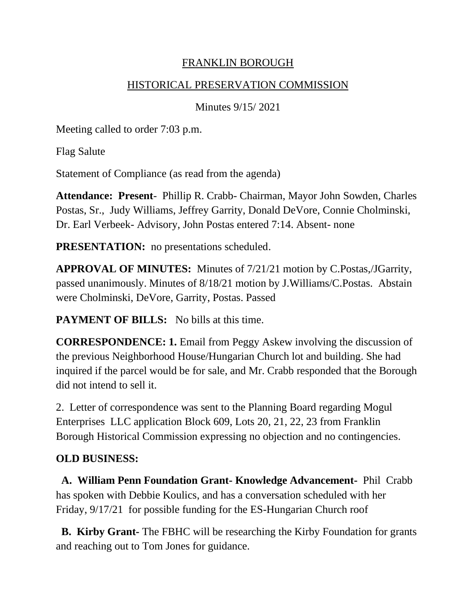### FRANKLIN BOROUGH

### HISTORICAL PRESERVATION COMMISSION

Minutes 9/15/ 2021

Meeting called to order 7:03 p.m.

Flag Salute

Statement of Compliance (as read from the agenda)

**Attendance: Present**- Phillip R. Crabb- Chairman, Mayor John Sowden, Charles Postas, Sr., Judy Williams, Jeffrey Garrity, Donald DeVore, Connie Cholminski, Dr. Earl Verbeek- Advisory, John Postas entered 7:14. Absent- none

**PRESENTATION:** no presentations scheduled.

**APPROVAL OF MINUTES:** Minutes of 7/21/21 motion by C.Postas,/JGarrity, passed unanimously. Minutes of 8/18/21 motion by J.Williams/C.Postas. Abstain were Cholminski, DeVore, Garrity, Postas. Passed

**PAYMENT OF BILLS:** No bills at this time.

**CORRESPONDENCE: 1.** Email from Peggy Askew involving the discussion of the previous Neighborhood House/Hungarian Church lot and building. She had inquired if the parcel would be for sale, and Mr. Crabb responded that the Borough did not intend to sell it.

2. Letter of correspondence was sent to the Planning Board regarding Mogul Enterprises LLC application Block 609, Lots 20, 21, 22, 23 from Franklin Borough Historical Commission expressing no objection and no contingencies.

# **OLD BUSINESS:**

**A. William Penn Foundation Grant- Knowledge Advancement-** Phil Crabb has spoken with Debbie Koulics, and has a conversation scheduled with her Friday, 9/17/21 for possible funding for the ES-Hungarian Church roof

 **B. Kirby Grant-** The FBHC will be researching the Kirby Foundation for grants and reaching out to Tom Jones for guidance.